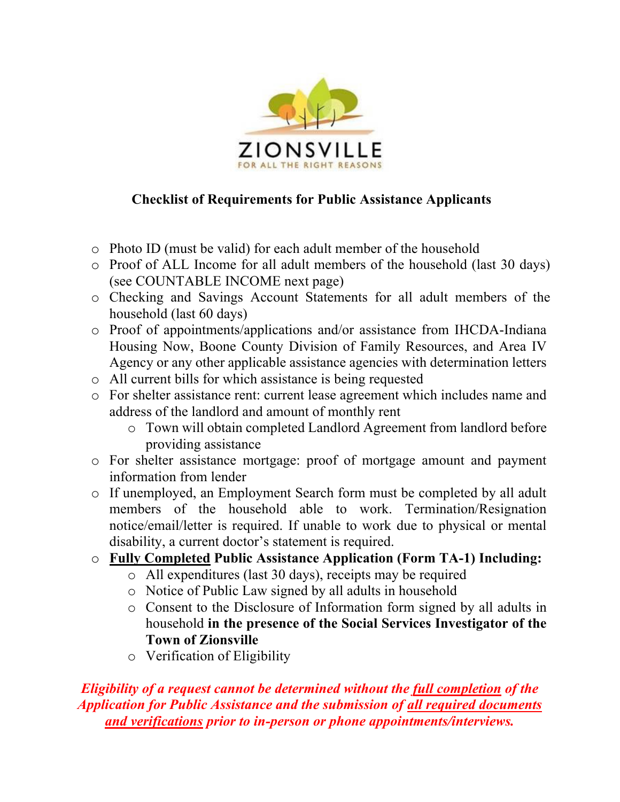

## **Checklist of Requirements for Public Assistance Applicants**

- o Photo ID (must be valid) for each adult member of the household
- o Proof of ALL Income for all adult members of the household (last 30 days) (see COUNTABLE INCOME next page)
- o Checking and Savings Account Statements for all adult members of the household (last 60 days)
- o Proof of appointments/applications and/or assistance from IHCDA-Indiana Housing Now, Boone County Division of Family Resources, and Area IV Agency or any other applicable assistance agencies with determination letters
- o All current bills for which assistance is being requested
- o For shelter assistance rent: current lease agreement which includes name and address of the landlord and amount of monthly rent
	- o Town will obtain completed Landlord Agreement from landlord before providing assistance
- o For shelter assistance mortgage: proof of mortgage amount and payment information from lender
- o If unemployed, an Employment Search form must be completed by all adult members of the household able to work. Termination/Resignation notice/email/letter is required. If unable to work due to physical or mental disability, a current doctor's statement is required.
- o **Fully Completed Public Assistance Application (Form TA-1) Including:**
	- o All expenditures (last 30 days), receipts may be required
	- o Notice of Public Law signed by all adults in household
	- o Consent to the Disclosure of Information form signed by all adults in household **in the presence of the Social Services Investigator of the Town of Zionsville**
	- o Verification of Eligibility

*Eligibility of a request cannot be determined without the full completion of the Application for Public Assistance and the submission of all required documents and verifications prior to in-person or phone appointments/interviews.*